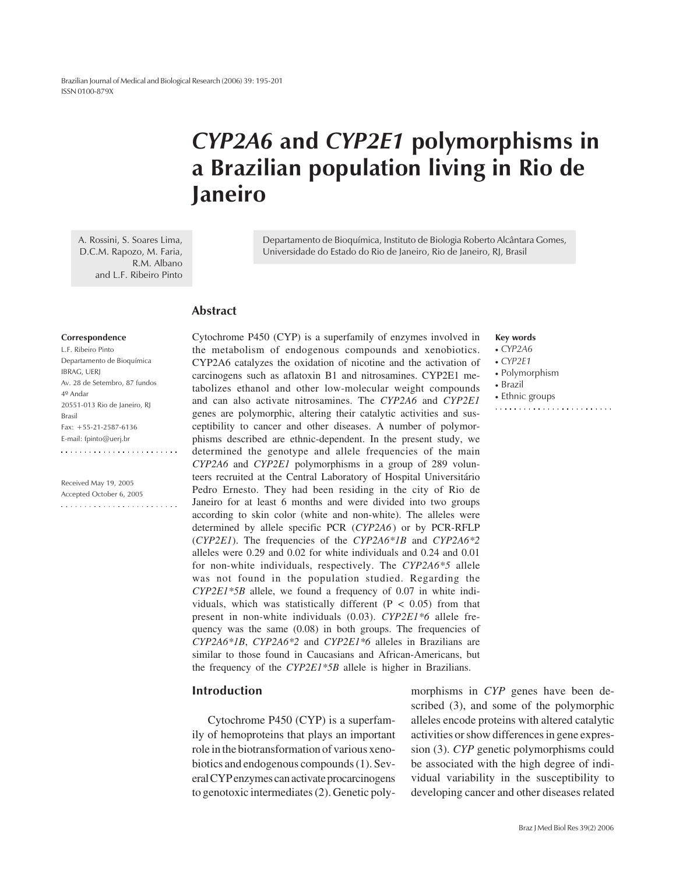Brazilian Journal of Medical and Biological Research (2006) 39: 195-201 ISSN 0100-879X

# *CYP2A6* **and** *CYP2E1* **polymorphisms in a Brazilian population living in Rio de Janeiro**

A. Rossini, S. Soares Lima, D.C.M. Rapozo, M. Faria, R.M. Albano and L.F. Ribeiro Pinto

Departamento de Bioquímica, Instituto de Biologia Roberto Alcântara Gomes, Universidade do Estado do Rio de Janeiro, Rio de Janeiro, RJ, Brasil

#### **Abstract**

#### **Correspondence**

| L.F. Ribeiro Pinto            |
|-------------------------------|
| Departamento de Bioquímica    |
| <b>IBRAG, UERJ</b>            |
| Av. 28 de Setembro, 87 fundos |
| $4^{\circ}$ Andar             |
| 20551-013 Rio de Janeiro, RJ  |
| <b>Brasil</b>                 |
| Fax: $+55-21-2587-6136$       |
| E-mail: fpinto@uerj.br        |
|                               |

Received May 19, 2005 Accepted October 6, 2005  Cytochrome P450 (CYP) is a superfamily of enzymes involved in the metabolism of endogenous compounds and xenobiotics. CYP2A6 catalyzes the oxidation of nicotine and the activation of carcinogens such as aflatoxin B1 and nitrosamines. CYP2E1 metabolizes ethanol and other low-molecular weight compounds and can also activate nitrosamines. The *CYP2A6* and *CYP2E1* genes are polymorphic, altering their catalytic activities and susceptibility to cancer and other diseases. A number of polymorphisms described are ethnic-dependent. In the present study, we determined the genotype and allele frequencies of the main *CYP2A6* and *CYP2E1* polymorphisms in a group of 289 volunteers recruited at the Central Laboratory of Hospital Universitário Pedro Ernesto. They had been residing in the city of Rio de Janeiro for at least 6 months and were divided into two groups according to skin color (white and non-white). The alleles were determined by allele specific PCR (*CYP2A6*) or by PCR-RFLP (*CYP2E1*). The frequencies of the *CYP2A6\*1B* and *CYP2A6\*2* alleles were 0.29 and 0.02 for white individuals and 0.24 and 0.01 for non-white individuals, respectively. The *CYP2A6\*5* allele was not found in the population studied. Regarding the *CYP2E1\*5B* allele, we found a frequency of 0.07 in white individuals, which was statistically different ( $P < 0.05$ ) from that present in non-white individuals (0.03). *CYP2E1\*6* allele frequency was the same (0.08) in both groups. The frequencies of *CYP2A6\*1B*, *CYP2A6\*2* and *CYP2E1\*6* alleles in Brazilians are similar to those found in Caucasians and African-Americans, but the frequency of the *CYP2E1\*5B* allele is higher in Brazilians.

#### **Introduction**

Cytochrome P450 (CYP) is a superfamily of hemoproteins that plays an important role in the biotransformation of various xenobiotics and endogenous compounds (1). Several CYP enzymes can activate procarcinogens to genotoxic intermediates (2). Genetic polymorphisms in *CYP* genes have been described (3), and some of the polymorphic alleles encode proteins with altered catalytic activities or show differences in gene expression (3). *CYP* genetic polymorphisms could be associated with the high degree of individual variability in the susceptibility to developing cancer and other diseases related

**Key words** • *CYP2A6* • *CYP2E1* • Polymorphism • Brazil • Ethnic groups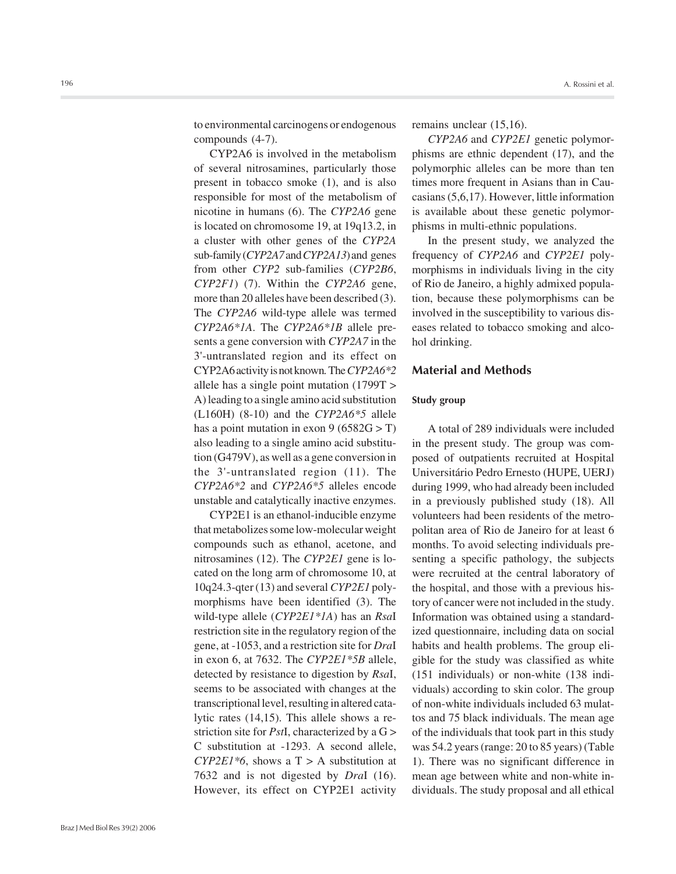to environmental carcinogens or endogenous compounds (4-7).

CYP2A6 is involved in the metabolism of several nitrosamines, particularly those present in tobacco smoke (1), and is also responsible for most of the metabolism of nicotine in humans (6). The *CYP2A6* gene is located on chromosome 19, at 19q13.2, in a cluster with other genes of the *CYP2A* sub-family (*CYP2A7* and *CYP2A13*) and genes from other *CYP2* sub-families (*CYP2B6*, *CYP2F1*) (7). Within the *CYP2A6* gene, more than 20 alleles have been described (3). The *CYP2A6* wild-type allele was termed *CYP2A6\*1A*. The *CYP2A6\*1B* allele presents a gene conversion with *CYP2A7* in the 3'-untranslated region and its effect on CYP2A6 activity is not known*.* The *CYP2A6\*2* allele has a single point mutation (1799T > A) leading to a single amino acid substitution (L160H) (8-10) and the *CYP2A6\*5* allele has a point mutation in exon  $9 (6582G > T)$ also leading to a single amino acid substitution (G479V), as well as a gene conversion in the 3'-untranslated region (11). The *CYP2A6\*2* and *CYP2A6\*5* alleles encode unstable and catalytically inactive enzymes.

CYP2E1 is an ethanol-inducible enzyme that metabolizes some low-molecular weight compounds such as ethanol, acetone, and nitrosamines (12). The *CYP2E1* gene is located on the long arm of chromosome 10, at 10q24.3-qter (13) and several *CYP2E1* polymorphisms have been identified (3). The wild-type allele (*CYP2E1\*1A*) has an *Rsa*I restriction site in the regulatory region of the gene, at -1053, and a restriction site for *Dra*I in exon 6, at 7632. The *CYP2E1\*5B* allele, detected by resistance to digestion by *Rsa*I, seems to be associated with changes at the transcriptional level, resulting in altered catalytic rates (14,15). This allele shows a restriction site for *Pst*I, characterized by a G > C substitution at -1293. A second allele, *CYP2E1\*6*, shows a  $T > A$  substitution at 7632 and is not digested by *Dra*I (16). However, its effect on CYP2E1 activity remains unclear (15,16).

*CYP2A6* and *CYP2E1* genetic polymorphisms are ethnic dependent (17), and the polymorphic alleles can be more than ten times more frequent in Asians than in Caucasians (5,6,17). However, little information is available about these genetic polymorphisms in multi-ethnic populations.

In the present study, we analyzed the frequency of *CYP2A6* and *CYP2E1* polymorphisms in individuals living in the city of Rio de Janeiro, a highly admixed population, because these polymorphisms can be involved in the susceptibility to various diseases related to tobacco smoking and alcohol drinking.

#### **Material and Methods**

#### **Study group**

A total of 289 individuals were included in the present study. The group was composed of outpatients recruited at Hospital Universitário Pedro Ernesto (HUPE, UERJ) during 1999, who had already been included in a previously published study (18). All volunteers had been residents of the metropolitan area of Rio de Janeiro for at least 6 months. To avoid selecting individuals presenting a specific pathology, the subjects were recruited at the central laboratory of the hospital, and those with a previous history of cancer were not included in the study. Information was obtained using a standardized questionnaire, including data on social habits and health problems. The group eligible for the study was classified as white (151 individuals) or non-white (138 individuals) according to skin color. The group of non-white individuals included 63 mulattos and 75 black individuals. The mean age of the individuals that took part in this study was 54.2 years (range: 20 to 85 years) (Table 1). There was no significant difference in mean age between white and non-white individuals. The study proposal and all ethical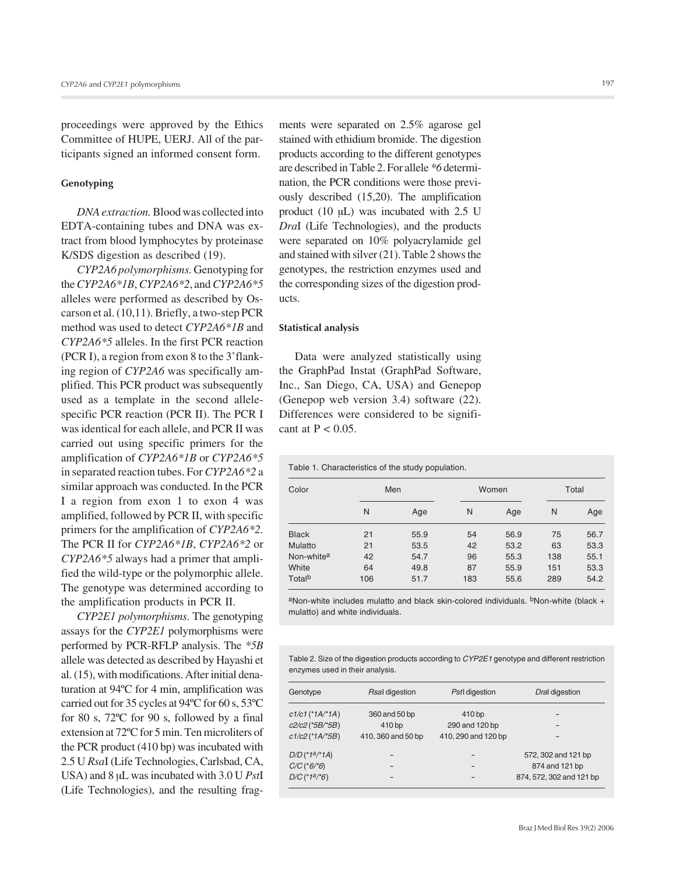proceedings were approved by the Ethics Committee of HUPE, UERJ. All of the participants signed an informed consent form.

#### **Genotyping**

*DNA extraction.* Blood was collected into EDTA-containing tubes and DNA was extract from blood lymphocytes by proteinase K/SDS digestion as described (19).

*CYP2A6 polymorphisms.* Genotyping for the *CYP2A6\*1B*, *CYP2A6\*2*, and *CYP2A6\*5* alleles were performed as described by Oscarson et al. (10,11). Briefly, a two-step PCR method was used to detect *CYP2A6\*1B* and *CYP2A6\*5* alleles. In the first PCR reaction (PCR I), a region from exon 8 to the 3'flanking region of *CYP2A6* was specifically amplified. This PCR product was subsequently used as a template in the second allelespecific PCR reaction (PCR II). The PCR I was identical for each allele, and PCR II was carried out using specific primers for the amplification of *CYP2A6\*1B* or *CYP2A6\*5* in separated reaction tubes. For *CYP2A6\*2* a similar approach was conducted. In the PCR I a region from exon 1 to exon 4 was amplified, followed by PCR II, with specific primers for the amplification of *CYP2A6\*2.* The PCR II for *CYP2A6\*1B*, *CYP2A6\*2* or *CYP2A6\*5* always had a primer that amplified the wild-type or the polymorphic allele. The genotype was determined according to the amplification products in PCR II.

*CYP2E1 polymorphisms*. The genotyping assays for the *CYP2E1* polymorphisms were performed by PCR-RFLP analysis. The *\*5B* allele was detected as described by Hayashi et al. (15), with modifications. After initial denaturation at 94ºC for 4 min, amplification was carried out for 35 cycles at 94ºC for 60 s, 53ºC for 80 s, 72ºC for 90 s, followed by a final extension at 72ºC for 5 min. Ten microliters of the PCR product (410 bp) was incubated with 2.5 U *Rsa*I (Life Technologies, Carlsbad, CA, USA) and 8 µL was incubated with 3.0 U *Pst*I (Life Technologies), and the resulting fragments were separated on 2.5% agarose gel stained with ethidium bromide. The digestion products according to the different genotypes are described in Table 2. For allele *\*6* determination, the PCR conditions were those previously described (15,20). The amplification product (10 µL) was incubated with 2.5 U *Dra*I (Life Technologies), and the products were separated on 10% polyacrylamide gel and stained with silver (21). Table 2 shows the genotypes, the restriction enzymes used and the corresponding sizes of the digestion products.

#### **Statistical analysis**

Data were analyzed statistically using the GraphPad Instat (GraphPad Software, Inc., San Diego, CA, USA) and Genepop (Genepop web version 3.4) software (22). Differences were considered to be significant at  $P < 0.05$ .

Table 1. Characteristics of the study population.

| Color                  |     | Men  |     | Women | Total |      |
|------------------------|-----|------|-----|-------|-------|------|
|                        | N   | Age  | N   | Age   | N     | Age  |
| <b>Black</b>           | 21  | 55.9 | 54  | 56.9  | 75    | 56.7 |
| Mulatto                | 21  | 53.5 | 42  | 53.2  | 63    | 53.3 |
| Non-white <sup>a</sup> | 42  | 54.7 | 96  | 55.3  | 138   | 55.1 |
| White                  | 64  | 49.8 | 87  | 55.9  | 151   | 53.3 |
| Total <sup>b</sup>     | 106 | 51.7 | 183 | 55.6  | 289   | 54.2 |

 $a$ Non-white includes mulatto and black skin-colored individuals.  $b$ Non-white (black + mulatto) and white individuals.

Table 2. Size of the digestion products according to *CYP2E1* genotype and different restriction enzymes used in their analysis.

| Genotype                    | Rsal digestion     | PstI digestion      | Dral digestion           |  |  |
|-----------------------------|--------------------|---------------------|--------------------------|--|--|
| $c1/c1$ (*1A/*1A)           | 360 and 50 bp      | 410 bp              | -                        |  |  |
| $c2/c2$ (*5B/*5B)           | 410 <sub>bp</sub>  | 290 and 120 bp      |                          |  |  |
| $c1/c2$ (*1A/*5B)           | 410, 360 and 50 bp | 410, 290 and 120 bp |                          |  |  |
| $D/D$ (*1a/*1A)             |                    |                     | 572, 302 and 121 bp      |  |  |
| $C/C$ (*6/*6)               |                    |                     | 874 and 121 bp           |  |  |
| $D/C$ (*1 <sup>a</sup> /*6) | -                  |                     | 874, 572, 302 and 121 bp |  |  |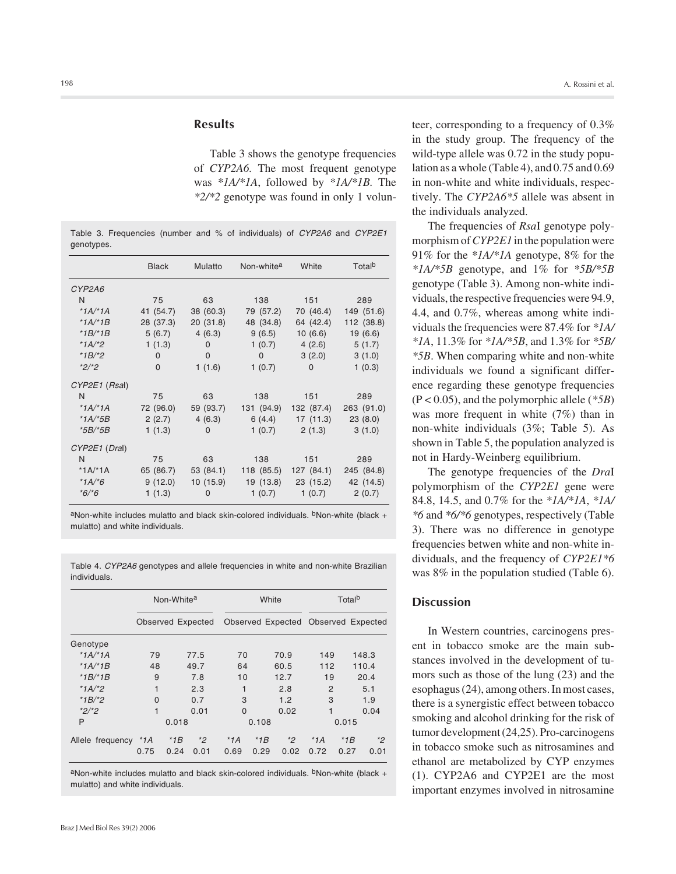## **Results**

Table 3 shows the genotype frequencies of *CYP2A6.* The most frequent genotype was *\*1A/\*1A*, followed by *\*1A/\*1B.* The *\*2/\*2* genotype was found in only 1 volun-

Table 3. Frequencies (number and % of individuals) of *CYP2A6* and *CYP2E1* genotypes.

|                | <b>Black</b> | Mulatto     | Non-white <sup>a</sup> | White               | Total <sup>b</sup> |
|----------------|--------------|-------------|------------------------|---------------------|--------------------|
| CYP2A6         |              |             |                        |                     |                    |
| N.             | 75           | 63          | 138                    | 151                 | 289                |
| $*1A/*1A$      | 41 (54.7)    | 38 (60.3)   | 79 (57.2)              | 70 (46.4)           | 149 (51.6)         |
| $*1A/*1B$      | 28 (37.3)    | 20(31.8)    | 48 (34.8)              | 64 (42.4)           | 112 (38.8)         |
| $*1B/*1B$      | 5(6.7)       | 4(6.3)      | 9(6.5)                 | 10(6.6)             | 19(6.6)            |
| * $1A$ /*2     | 1(1.3)       | $\Omega$    | 1(0.7)                 | 4(2.6)              | 5(1.7)             |
| *1B/*2         | $\Omega$     | $\mathbf 0$ | $\Omega$               | 3(2.0)              | 3(1.0)             |
| $*2/*2$        | 0            | 1(1.6)      | 1(0.7)                 | $\mathbf 0$         | 1(0.3)             |
| CYP2E1 (Rsal)  |              |             |                        |                     |                    |
| N              | 75           | 63          | 138                    | 151                 | 289                |
| *1A/*1A        | 72 (96.0)    | 59 (93.7)   | 131 (94.9)             | 132 (87.4)          | 263 (91.0)         |
| $*1A,*5B$      | 2(2.7)       | 4(6.3)      |                        | $6(4.4)$ 17 (11.3)  | 23(8.0)            |
| <i>*5B/*5B</i> | 1(1.3)       | $\Omega$    | 1(0.7)                 | 2(1.3)              | 3(1.0)             |
| CYP2E1 (Dral)  |              |             |                        |                     |                    |
| N              | 75           | 63          | 138                    | 151                 | 289                |
| $*1A/*1A$      | 65 (86.7)    | 53 (84.1)   | 118 (85.5)             | 127 (84.1)          | 245 (84.8)         |
| $*1A,*6$       | 9(12.0)      | 10(15.9)    |                        | 19 (13.8) 23 (15.2) | 42 (14.5)          |
| $*6/*6$        | 1(1.3)       | $\Omega$    | 1(0.7)                 | 1(0.7)              | 2(0.7)             |

aNon-white includes mulatto and black skin-colored individuals.  $b$ Non-white (black + mulatto) and white individuals.

Table 4. *CYP2A6* genotypes and allele frequencies in white and non-white Brazilian individuals.

|                  | Non-White <sup>a</sup> |       |                   |          | White |       |                | Total <sup>b</sup> |                                     |  |
|------------------|------------------------|-------|-------------------|----------|-------|-------|----------------|--------------------|-------------------------------------|--|
|                  |                        |       | Observed Expected |          |       |       |                |                    | Observed Expected Observed Expected |  |
| Genotype         |                        |       |                   |          |       |       |                |                    |                                     |  |
| * $1A$ /* $1A$   | 79                     |       | 77.5              | 70       |       | 70.9  | 149            |                    | 148.3                               |  |
| * $1A$ /* $1B$   | 48                     |       | 49.7              | 64       |       | 60.5  | 112            |                    | 110.4                               |  |
| *1B/*1B          | 9                      |       | 7.8               | 10       |       | 12.7  | 19             |                    | 20.4                                |  |
| *1A/*2           | 1                      |       | 2.3               | 1        |       | 2.8   | $\overline{2}$ |                    | 5.1                                 |  |
| *1B/*2           | $\Omega$               |       | 0.7               | 3        |       | 1.2   | 3              |                    | 1.9                                 |  |
| $*2/*2$          | 1                      |       | 0.01              | $\Omega$ |       | 0.02  | 1              |                    | 0.04                                |  |
| P                | 0.018                  |       | 0.108             |          |       | 0.015 |                |                    |                                     |  |
| Allele frequency | $^*1A$                 | $*1B$ | $*_{2}$           | $*1A$    | $*1B$ | $*2$  | $*1A$          | $*1B$              | *2                                  |  |
|                  | 0.75                   | 0.24  | 0.01              | 0.69     | 0.29  | 0.02  | 0.72           | 0.27               | 0.01                                |  |

aNon-white includes mulatto and black skin-colored individuals.  $b$ Non-white (black + mulatto) and white individuals.

teer, corresponding to a frequency of 0.3% in the study group. The frequency of the wild-type allele was 0.72 in the study population as a whole (Table 4), and 0.75 and 0.69 in non-white and white individuals, respectively. The *CYP2A6\*5* allele was absent in the individuals analyzed.

The frequencies of *Rsa*I genotype polymorphism of *CYP2E1* in the population were 91% for the *\*1A/\*1A* genotype, 8% for the *\*1A/\*5B* genotype, and 1% for *\*5B/\*5B* genotype (Table 3). Among non-white individuals, the respective frequencies were 94.9, 4.4, and 0.7%, whereas among white individuals the frequencies were 87.4% for *\*1A/ \*1A*, 11.3% for *\*1A/\*5B*, and 1.3% for *\*5B/ \*5B*. When comparing white and non-white individuals we found a significant difference regarding these genotype frequencies (P < 0.05), and the polymorphic allele (*\*5B*) was more frequent in white (7%) than in non-white individuals (3%; Table 5). As shown in Table 5, the population analyzed is not in Hardy-Weinberg equilibrium.

The genotype frequencies of the *Dra*I polymorphism of the *CYP2E1* gene were 84.8, 14.5, and 0.7% for the *\*1A/\*1A*, *\*1A/ \*6* and *\*6/\*6* genotypes, respectively (Table 3). There was no difference in genotype frequencies betwen white and non-white individuals, and the frequency of *CYP2E1\*6* was 8% in the population studied (Table 6).

## **Discussion**

In Western countries, carcinogens present in tobacco smoke are the main substances involved in the development of tumors such as those of the lung (23) and the esophagus (24), among others. In most cases, there is a synergistic effect between tobacco smoking and alcohol drinking for the risk of tumor development (24,25). Pro-carcinogens in tobacco smoke such as nitrosamines and ethanol are metabolized by CYP enzymes (1). CYP2A6 and CYP2E1 are the most important enzymes involved in nitrosamine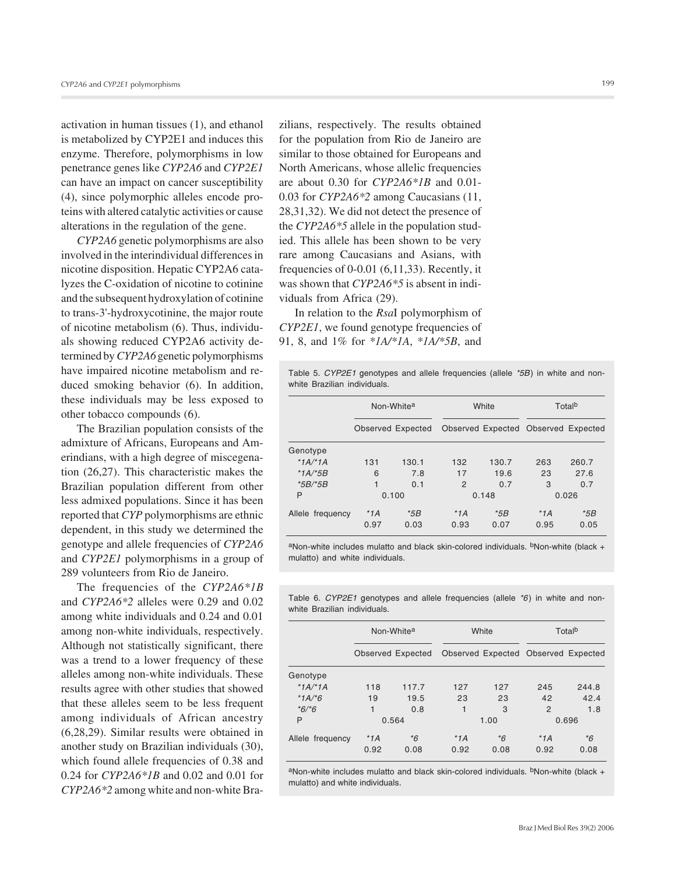activation in human tissues (1), and ethanol is metabolized by CYP2E1 and induces this enzyme. Therefore, polymorphisms in low penetrance genes like *CYP2A6* and *CYP2E1* can have an impact on cancer susceptibility (4), since polymorphic alleles encode proteins with altered catalytic activities or cause alterations in the regulation of the gene.

*CYP2A6* genetic polymorphisms are also involved in the interindividual differences in nicotine disposition. Hepatic CYP2A6 catalyzes the C-oxidation of nicotine to cotinine and the subsequent hydroxylation of cotinine to trans-3'-hydroxycotinine, the major route of nicotine metabolism (6). Thus, individuals showing reduced CYP2A6 activity determined by *CYP2A6* genetic polymorphisms have impaired nicotine metabolism and reduced smoking behavior (6). In addition, these individuals may be less exposed to other tobacco compounds (6).

The Brazilian population consists of the admixture of Africans, Europeans and Amerindians, with a high degree of miscegenation (26,27). This characteristic makes the Brazilian population different from other less admixed populations. Since it has been reported that *CYP* polymorphisms are ethnic dependent, in this study we determined the genotype and allele frequencies of *CYP2A6* and *CYP2E1* polymorphisms in a group of 289 volunteers from Rio de Janeiro.

The frequencies of the *CYP2A6\*1B* and *CYP2A6\*2* alleles were 0.29 and 0.02 among white individuals and 0.24 and 0.01 among non-white individuals, respectively. Although not statistically significant, there was a trend to a lower frequency of these alleles among non-white individuals. These results agree with other studies that showed that these alleles seem to be less frequent among individuals of African ancestry (6,28,29). Similar results were obtained in another study on Brazilian individuals (30), which found allele frequencies of 0.38 and 0.24 for *CYP2A6\*1B* and 0.02 and 0.01 for *CYP2A6\*2* among white and non-white Brazilians, respectively. The results obtained for the population from Rio de Janeiro are similar to those obtained for Europeans and North Americans, whose allelic frequencies are about 0.30 for *CYP2A6\*1B* and 0.01- 0.03 for *CYP2A6\*2* among Caucasians (11, 28,31,32). We did not detect the presence of the *CYP2A6\*5* allele in the population studied. This allele has been shown to be very rare among Caucasians and Asians, with frequencies of 0-0.01 (6,11,33). Recently, it was shown that *CYP2A6\*5* is absent in individuals from Africa (29).

In relation to the *Rsa*I polymorphism of *CYP2E1*, we found genotype frequencies of 91, 8, and 1% for *\*1A/\*1A*, *\*1A/\*5B*, and

Table 5. *CYP2E1* genotypes and allele frequencies (allele *\*5B*) in white and nonwhite Brazilian individuals.

|                  |                   | Non-White <sup>a</sup> |                                     | White | Total <sup>b</sup> |       |  |
|------------------|-------------------|------------------------|-------------------------------------|-------|--------------------|-------|--|
|                  | Observed Expected |                        | Observed Expected Observed Expected |       |                    |       |  |
| Genotype         |                   |                        |                                     |       |                    |       |  |
| * $1A$ /* $1A$   | 131               | 130.1                  | 132                                 | 130.7 | 263                | 260.7 |  |
| * $1A$ /* $5B$   | 6                 | 7.8                    | 17                                  | 19.6  | 23                 | 27.6  |  |
| $*5B/*5B$        | 1                 | 0.1                    | $\overline{2}$                      | 0.7   | 3                  | 0.7   |  |
| P                | 0.100             |                        | 0.148                               |       | 0.026              |       |  |
| Allele frequency | $*1A$             | $*5B$                  | $*1A$                               | $*5B$ | $*1A$              | $*5B$ |  |
|                  | 0.97              | 0.03                   | 0.93                                | 0.07  | 0.95               | 0.05  |  |

aNon-white includes mulatto and black skin-colored individuals. <sup>b</sup>Non-white (black + mulatto) and white individuals.

Table 6. *CYP2E1* genotypes and allele frequencies (allele *\*6*) in white and nonwhite Brazilian individuals.

|                  |       | Non-White <sup>a</sup> |       | White                               | Total <sup>b</sup> |       |  |
|------------------|-------|------------------------|-------|-------------------------------------|--------------------|-------|--|
|                  |       | Observed Expected      |       | Observed Expected Observed Expected |                    |       |  |
| Genotype         |       |                        |       |                                     |                    |       |  |
| $*1A/*1A$        | 118   | 117.7                  | 127   | 127                                 | 245                | 244.8 |  |
| $*1A,*6$         | 19    | 19.5                   | 23    | 23                                  | 42                 | 42.4  |  |
| $*6/*6$          | 1     | 0.8                    | 1     | 3                                   | 2                  | 1.8   |  |
| P                |       | 0.564                  | 1.00  |                                     | 0.696              |       |  |
| Allele frequency | $*1A$ | $*6$                   | $*1A$ | *6                                  | $*1A$              | $*6$  |  |
|                  | 0.92  | 0.08                   | 0.92  | 0.08                                | 0.92               | 0.08  |  |

aNon-white includes mulatto and black skin-colored individuals. <sup>b</sup>Non-white (black + mulatto) and white individuals.

Braz J Med Biol Res 39(2) 2006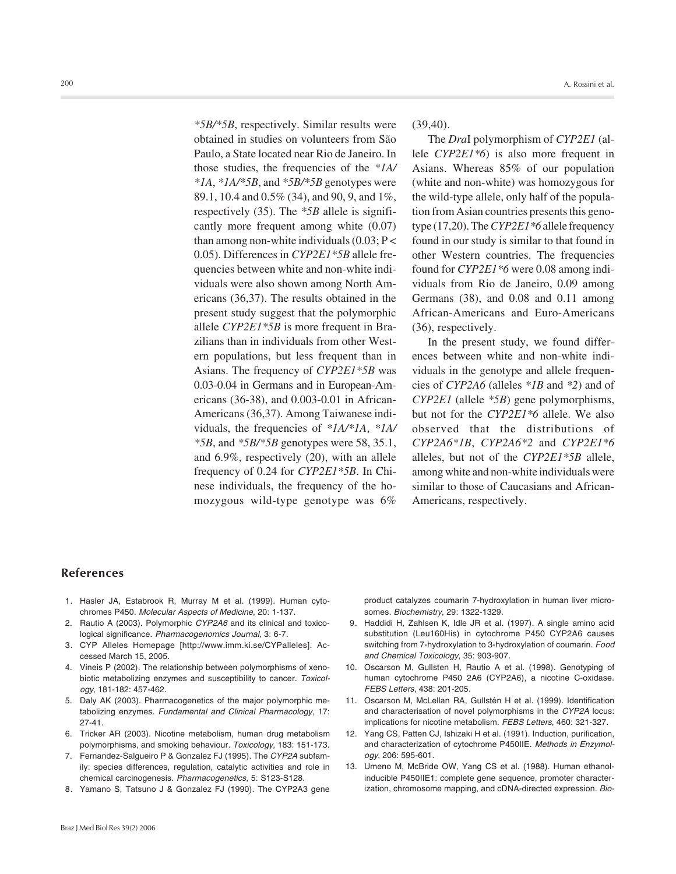*\*5B/\*5B*, respectively. Similar results were obtained in studies on volunteers from São Paulo, a State located near Rio de Janeiro. In those studies, the frequencies of the *\*1A/ \*1A*, *\*1A/\*5B*, and *\*5B/\*5B* genotypes were 89.1, 10.4 and 0.5% (34), and 90, 9, and 1%, respectively (35). The *\*5B* allele is significantly more frequent among white (0.07) than among non-white individuals  $(0.03; P<$ 0.05). Differences in *CYP2E1\*5B* allele frequencies between white and non-white individuals were also shown among North Americans (36,37). The results obtained in the present study suggest that the polymorphic allele *CYP2E1\*5B* is more frequent in Brazilians than in individuals from other Western populations, but less frequent than in Asians. The frequency of *CYP2E1\*5B* was 0.03-0.04 in Germans and in European-Americans (36-38), and 0.003-0.01 in African-Americans (36,37). Among Taiwanese individuals, the frequencies of *\*1A/\*1A*, *\*1A/ \*5B*, and *\*5B/\*5B* genotypes were 58, 35.1, and 6.9%, respectively (20), with an allele frequency of 0.24 for *CYP2E1\*5B*. In Chinese individuals, the frequency of the homozygous wild-type genotype was 6%

(39,40).

The *Dra*I polymorphism of *CYP2E1* (allele *CYP2E1\*6*) is also more frequent in Asians. Whereas 85% of our population (white and non-white) was homozygous for the wild-type allele, only half of the population from Asian countries presents this genotype (17,20). The *CYP2E1\*6* allele frequency found in our study is similar to that found in other Western countries. The frequencies found for *CYP2E1\*6* were 0.08 among individuals from Rio de Janeiro, 0.09 among Germans (38), and 0.08 and 0.11 among African-Americans and Euro-Americans (36), respectively.

In the present study, we found differences between white and non-white individuals in the genotype and allele frequencies of *CYP2A6* (alleles *\*1B* and *\*2*) and of *CYP2E1* (allele *\*5B*) gene polymorphisms, but not for the *CYP2E1\*6* allele. We also observed that the distributions of *CYP2A6\*1B*, *CYP2A6\*2* and *CYP2E1\*6* alleles, but not of the *CYP2E1\*5B* allele, among white and non-white individuals were similar to those of Caucasians and African-Americans, respectively.

#### **References**

- 1. Hasler JA, Estabrook R, Murray M et al. (1999). Human cytochromes P450. *Molecular Aspects of Medicine*, 20: 1-137.
- 2. Rautio A (2003). Polymorphic *CYP2A6* and its clinical and toxicological significance. *Pharmacogenomics Journal*, 3: 6-7.
- 3. CYP Alleles Homepage [http://www.imm.ki.se/CYPalleles]. Accessed March 15, 2005.
- 4. Vineis P (2002). The relationship between polymorphisms of xenobiotic metabolizing enzymes and susceptibility to cancer. *Toxicology*, 181-182: 457-462.
- 5. Daly AK (2003). Pharmacogenetics of the major polymorphic metabolizing enzymes. *Fundamental and Clinical Pharmacology*, 17: 27-41.
- 6. Tricker AR (2003). Nicotine metabolism, human drug metabolism polymorphisms, and smoking behaviour. *Toxicology*, 183: 151-173.
- 7. Fernandez-Salgueiro P & Gonzalez FJ (1995). The *CYP2A* subfamily: species differences, regulation, catalytic activities and role in chemical carcinogenesis. *Pharmacogenetics*, 5: S123-S128.
- 8. Yamano S, Tatsuno J & Gonzalez FJ (1990). The CYP2A3 gene

product catalyzes coumarin 7-hydroxylation in human liver microsomes. *Biochemistry*, 29: 1322-1329.

- 9. Haddidi H, Zahlsen K, Idle JR et al. (1997). A single amino acid substitution (Leu160His) in cytochrome P450 CYP2A6 causes switching from 7-hydroxylation to 3-hydroxylation of coumarin. *Food and Chemical Toxicology*, 35: 903-907.
- 10. Oscarson M, Gullsten H, Rautio A et al. (1998). Genotyping of human cytochrome P450 2A6 (CYP2A6), a nicotine C-oxidase. *FEBS Letters*, 438: 201-205.
- 11. Oscarson M, McLellan RA, Gullstén H et al. (1999). Identification and characterisation of novel polymorphisms in the *CYP2A* locus: implications for nicotine metabolism. *FEBS Letters*, 460: 321-327.
- 12. Yang CS, Patten CJ, Ishizaki H et al. (1991). Induction, purification, and characterization of cytochrome P450IIE. *Methods in Enzymology*, 206: 595-601.
- 13. Umeno M, McBride OW, Yang CS et al. (1988). Human ethanolinducible P450IIE1: complete gene sequence, promoter characterization, chromosome mapping, and cDNA-directed expression. *Bio-*